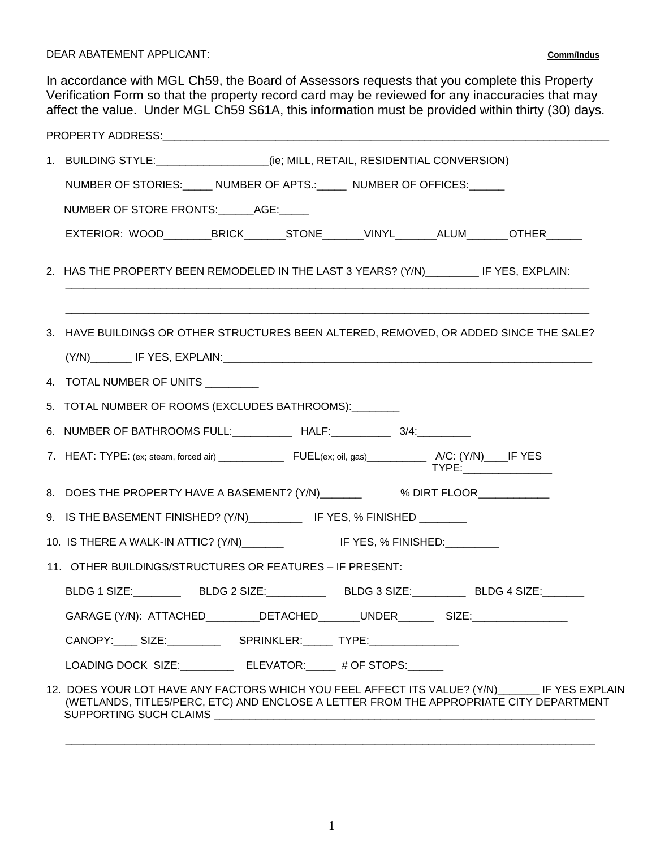DEAR ABATEMENT APPLICANT: **Comm/Indus**

In accordance with MGL Ch59, the Board of Assessors requests that you complete this Property Verification Form so that the property record card may be reviewed for any inaccuracies that may affect the value. Under MGL Ch59 S61A, this information must be provided within thirty (30) days.

|                                                          | 1. BUILDING STYLE:_________________(ie; MILL, RETAIL, RESIDENTIAL CONVERSION)                                                                                                                                       |  |  |  |  |  |  |
|----------------------------------------------------------|---------------------------------------------------------------------------------------------------------------------------------------------------------------------------------------------------------------------|--|--|--|--|--|--|
|                                                          | NUMBER OF STORIES: _____ NUMBER OF APTS.: _____ NUMBER OF OFFICES: _____                                                                                                                                            |  |  |  |  |  |  |
|                                                          | NUMBER OF STORE FRONTS: ______ AGE: _____                                                                                                                                                                           |  |  |  |  |  |  |
|                                                          | EXTERIOR: WOOD_________BRICK_______STONE_______VINYL_______ALUM_______OTHER______                                                                                                                                   |  |  |  |  |  |  |
|                                                          | 2. HAS THE PROPERTY BEEN REMODELED IN THE LAST 3 YEARS? (Y/N)__________ IF YES, EXPLAIN:                                                                                                                            |  |  |  |  |  |  |
|                                                          | 3. HAVE BUILDINGS OR OTHER STRUCTURES BEEN ALTERED, REMOVED, OR ADDED SINCE THE SALE?                                                                                                                               |  |  |  |  |  |  |
|                                                          |                                                                                                                                                                                                                     |  |  |  |  |  |  |
|                                                          | 4. TOTAL NUMBER OF UNITS ________                                                                                                                                                                                   |  |  |  |  |  |  |
|                                                          | 5. TOTAL NUMBER OF ROOMS (EXCLUDES BATHROOMS): _______                                                                                                                                                              |  |  |  |  |  |  |
|                                                          | 6. NUMBER OF BATHROOMS FULL: ____________ HALF: ___________ 3/4:                                                                                                                                                    |  |  |  |  |  |  |
|                                                          | TYPE: _________________                                                                                                                                                                                             |  |  |  |  |  |  |
|                                                          | 8. DOES THE PROPERTY HAVE A BASEMENT? (Y/N) _________ % DIRT FLOOR___________                                                                                                                                       |  |  |  |  |  |  |
|                                                          | 9. IS THE BASEMENT FINISHED? (Y/N)___________ IF YES, % FINISHED _______                                                                                                                                            |  |  |  |  |  |  |
|                                                          | 10. IS THERE A WALK-IN ATTIC? (Y/N) ________ IF YES, % FINISHED: _______                                                                                                                                            |  |  |  |  |  |  |
| 11. OTHER BUILDINGS/STRUCTURES OR FEATURES - IF PRESENT: |                                                                                                                                                                                                                     |  |  |  |  |  |  |
|                                                          | BLDG 1 SIZE:____________BLDG 2 SIZE:______________BLDG 3 SIZE:____________BLDG 4 SIZE:________                                                                                                                      |  |  |  |  |  |  |
|                                                          | GARAGE (Y/N): ATTACHED________DETACHED______UNDER_________SIZE:_________________                                                                                                                                    |  |  |  |  |  |  |
|                                                          | CANOPY:_____ SIZE:___________________ SPRINKLER:_______ TYPE:___________________                                                                                                                                    |  |  |  |  |  |  |
|                                                          | LOADING DOCK SIZE: ELEVATOR: # OF STOPS:                                                                                                                                                                            |  |  |  |  |  |  |
|                                                          | 12. DOES YOUR LOT HAVE ANY FACTORS WHICH YOU FEEL AFFECT ITS VALUE? (Y/N) ______ IF YES EXPLAIN<br>(WETLANDS, TITLE5/PERC, ETC) AND ENCLOSE A LETTER FROM THE APPROPRIATE CITY DEPARTMENT<br>SUPPORTING SUCH CLAIMS |  |  |  |  |  |  |

\_\_\_\_\_\_\_\_\_\_\_\_\_\_\_\_\_\_\_\_\_\_\_\_\_\_\_\_\_\_\_\_\_\_\_\_\_\_\_\_\_\_\_\_\_\_\_\_\_\_\_\_\_\_\_\_\_\_\_\_\_\_\_\_\_\_\_\_\_\_\_\_\_\_\_\_\_\_\_\_\_\_\_\_\_\_\_\_\_